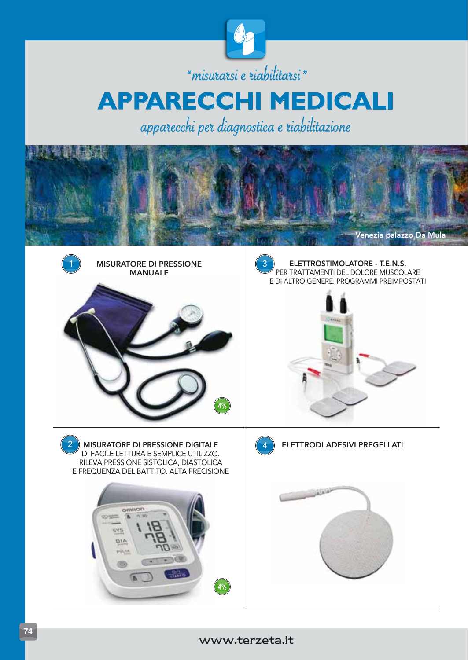

## "misurarsi e riabilitarsi" **APPARECCHI MEDICALI**

apparecchi per diagnostica e riabilitazione



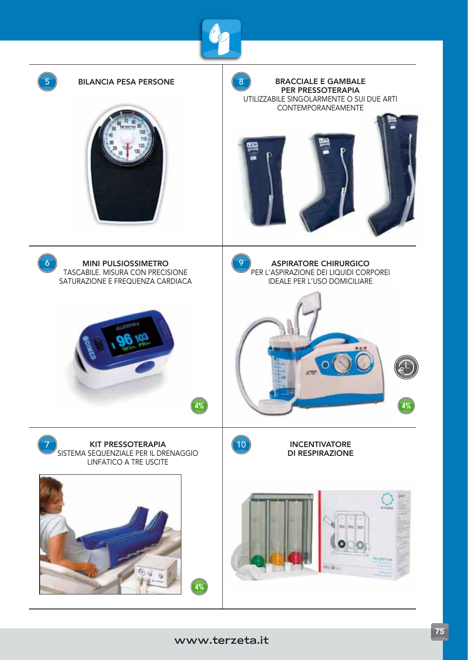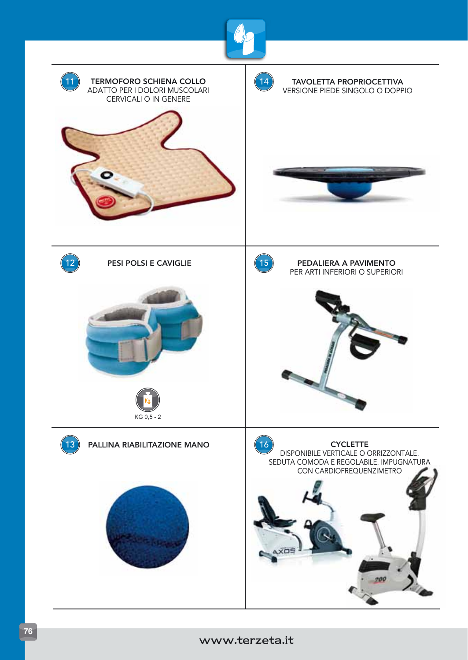

## www.terzeta.it